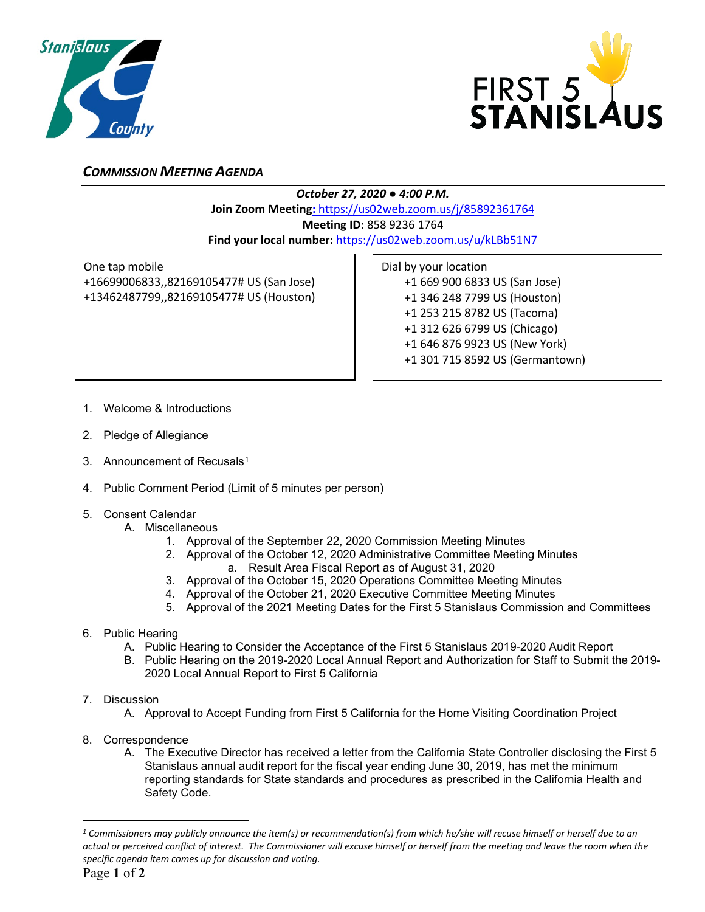



## *COMMISSION MEETING AGENDA*

*October 27, 2020 ● 4:00 P.M.*

**Join Zoom Meeting:** https://us02web.zoom.us/j/85892361764

**Meeting ID:** 858 9236 1764

**Find your local number:** <https://us02web.zoom.us/u/kLBb51N7>

One tap mobile +16699006833,,82169105477# US (San Jose) +13462487799,,82169105477# US (Houston) Dial by your location +1 669 900 6833 US (San Jose) +1 346 248 7799 US (Houston) +1 253 215 8782 US (Tacoma) +1 312 626 6799 US (Chicago) +1 646 876 9923 US (New York) +1 301 715 8592 US (Germantown)

- 1. Welcome & Introductions
- 2. Pledge of Allegiance
- 3. Announcement of Recusals<sup>[1](#page-0-0)</sup>
- 4. Public Comment Period (Limit of 5 minutes per person)
- 5. Consent Calendar
	- A. Miscellaneous
		- 1. Approval of the September 22, 2020 Commission Meeting Minutes
		- 2. Approval of the October 12, 2020 Administrative Committee Meeting Minutes a. Result Area Fiscal Report as of August 31, 2020
		- 3. Approval of the October 15, 2020 Operations Committee Meeting Minutes
		- 4. Approval of the October 21, 2020 Executive Committee Meeting Minutes
		- 5. Approval of the 2021 Meeting Dates for the First 5 Stanislaus Commission and Committees
- 6. Public Hearing
	- A. Public Hearing to Consider the Acceptance of the First 5 Stanislaus 2019-2020 Audit Report
	- B. Public Hearing on the 2019-2020 Local Annual Report and Authorization for Staff to Submit the 2019- 2020 Local Annual Report to First 5 California
- 7. Discussion
	- A. Approval to Accept Funding from First 5 California for the Home Visiting Coordination Project
- 8. Correspondence
	- A. The Executive Director has received a letter from the California State Controller disclosing the First 5 Stanislaus annual audit report for the fiscal year ending June 30, 2019, has met the minimum reporting standards for State standards and procedures as prescribed in the California Health and Safety Code.

<span id="page-0-0"></span>*<sup>1</sup> Commissioners may publicly announce the item(s) or recommendation(s) from which he/she will recuse himself or herself due to an actual or perceived conflict of interest. The Commissioner will excuse himself or herself from the meeting and leave the room when the specific agenda item comes up for discussion and voting.*